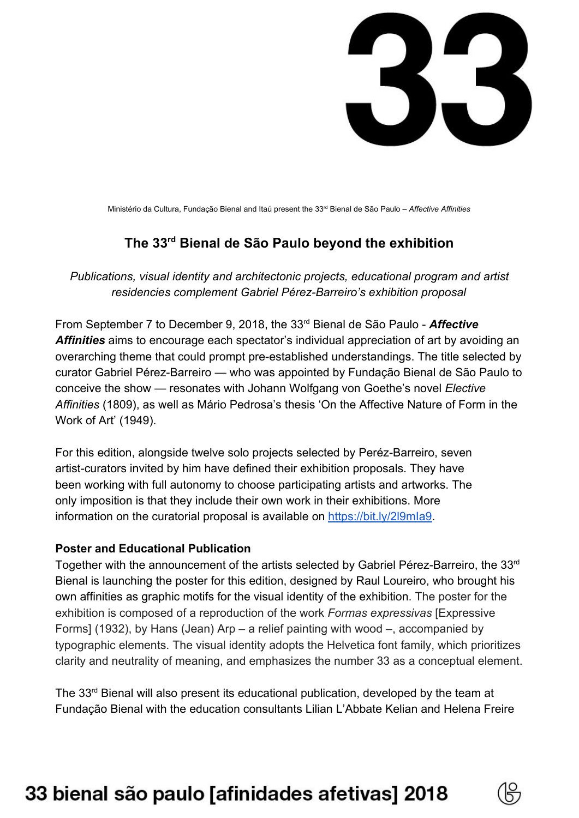

Ministério da Cultura, Fundação Bienal and Itaú present the 33 rd Bienal de São Paulo – *Affective Affinities*

## **The 33 rd Bienal de São Paulo beyond the exhibition**

*Publications, visual identity and architectonic projects, educational program and artist residencies complement Gabriel Pérez-Barreiro's exhibition proposal*

From September 7 to December 9, 2018, the 33rd Bienal de São Paulo - *Affective Affinities* aims to encourage each spectator's individual appreciation of art by avoiding an overarching theme that could prompt pre-established understandings. The title selected by curator Gabriel Pérez-Barreiro — who was appointed by Fundação Bienal de São Paulo to conceive the show — resonates with Johann Wolfgang von Goethe's novel *Elective Affinities* (1809), as well as Mário Pedrosa's thesis 'On the Affective Nature of Form in the Work of Art' (1949).

For this edition, alongside twelve solo projects selected by Peréz-Barreiro, seven artist-curators invited by him have defined their exhibition proposals. They have been working with full autonomy to choose participating artists and artworks. The only imposition is that they include their own work in their exhibitions. More information on the curatorial proposal is available on https://bit.ly/2l9mla9.

#### **Poster and Educational Publication**

Together with the announcement of the artists selected by Gabriel Pérez-Barreiro, the 33rd Bienal is launching the poster for this edition, designed by Raul Loureiro, who brought his own affinities as graphic motifs for the visual identity of the exhibition. The poster for the exhibition is composed of a reproduction of the work *Formas expressivas* [Expressive Forms] (1932), by Hans (Jean) Arp – a relief painting with wood –, accompanied by typographic elements. The visual identity adopts the Helvetica font family, which prioritizes clarity and neutrality of meaning, and emphasizes the number 33 as a conceptual element.

The 33<sup>rd</sup> Bienal will also present its educational publication, developed by the team at Fundação Bienal with the education consultants Lilian L'Abbate Kelian and Helena Freire

# 33 bienal são paulo [afinidades afetivas] 2018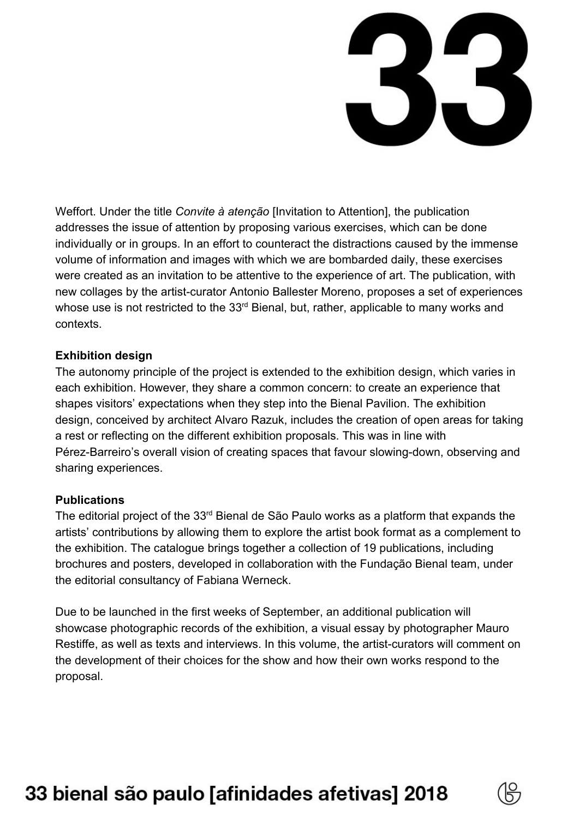

Weffort. Under the title *Convite à atenção* [Invitation to Attention], the publication addresses the issue of attention by proposing various exercises, which can be done individually or in groups. In an effort to counteract the distractions caused by the immense volume of information and images with which we are bombarded daily, these exercises were created as an invitation to be attentive to the experience of art. The publication, with new collages by the artist-curator Antonio Ballester Moreno, proposes a set of experiences whose use is not restricted to the 33<sup>rd</sup> Bienal, but, rather, applicable to many works and contexts.

#### **Exhibition design**

The autonomy principle of the project is extended to the exhibition design, which varies in each exhibition. However, they share a common concern: to create an experience that shapes visitors' expectations when they step into the Bienal Pavilion. The exhibition design, conceived by architect Alvaro Razuk, includes the creation of open areas for taking a rest or reflecting on the different exhibition proposals. This was in line with Pérez-Barreiro's overall vision of creating spaces that favour slowing-down, observing and sharing experiences.

#### **Publications**

The editorial project of the 33<sup>rd</sup> Bienal de São Paulo works as a platform that expands the artists' contributions by allowing them to explore the artist book format as a complement to the exhibition. The catalogue brings together a collection of 19 publications, including brochures and posters, developed in collaboration with the Fundação Bienal team, under the editorial consultancy of Fabiana Werneck.

Due to be launched in the first weeks of September, an additional publication will showcase photographic records of the exhibition, a visual essay by photographer Mauro Restiffe, as well as texts and interviews. In this volume, the artist-curators will comment on the development of their choices for the show and how their own works respond to the proposal.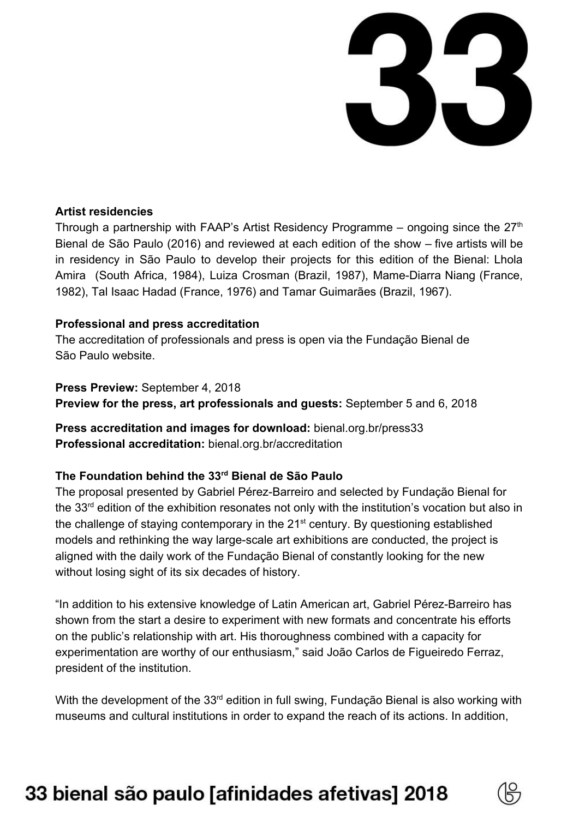

#### **Artist residencies**

Through a partnership with FAAP's Artist Residency Programme – ongoing since the  $27<sup>th</sup>$ Bienal de São Paulo (2016) and reviewed at each edition of the show – five artists will be in residency in São Paulo to develop their projects for this edition of the Bienal: Lhola Amira (South Africa, 1984), Luiza Crosman (Brazil, 1987), Mame-Diarra Niang (France, 1982), Tal Isaac Hadad (France, 1976) and Tamar Guimarães (Brazil, 1967).

#### **Professional and press accreditation**

The accreditation of professionals and press is open via the Fundação Bienal de São Paulo website.

**Press Preview:** September 4, 2018 **Preview for the press, art professionals and guests:** September 5 and 6, 2018

**Press accreditation and images for download:** bienal.org.br/press33 **Professional accreditation:** bienal.org.br/accreditation

### **The Foundation behind the 33 rd Bienal de São Paulo**

The proposal presented by Gabriel Pérez-Barreiro and selected by Fundação Bienal for the 33<sup>rd</sup> edition of the exhibition resonates not only with the institution's vocation but also in the challenge of staying contemporary in the  $21<sup>st</sup>$  century. By questioning established models and rethinking the way large-scale art exhibitions are conducted, the project is aligned with the daily work of the Fundação Bienal of constantly looking for the new without losing sight of its six decades of history.

"In addition to his extensive knowledge of Latin American art, Gabriel Pérez-Barreiro has shown from the start a desire to experiment with new formats and concentrate his efforts on the public's relationship with art. His thoroughness combined with a capacity for experimentation are worthy of our enthusiasm," said João Carlos de Figueiredo Ferraz, president of the institution.

With the development of the 33<sup>rd</sup> edition in full swing, Fundação Bienal is also working with museums and cultural institutions in order to expand the reach of its actions. In addition,

# 33 bienal são paulo [afinidades afetivas] 2018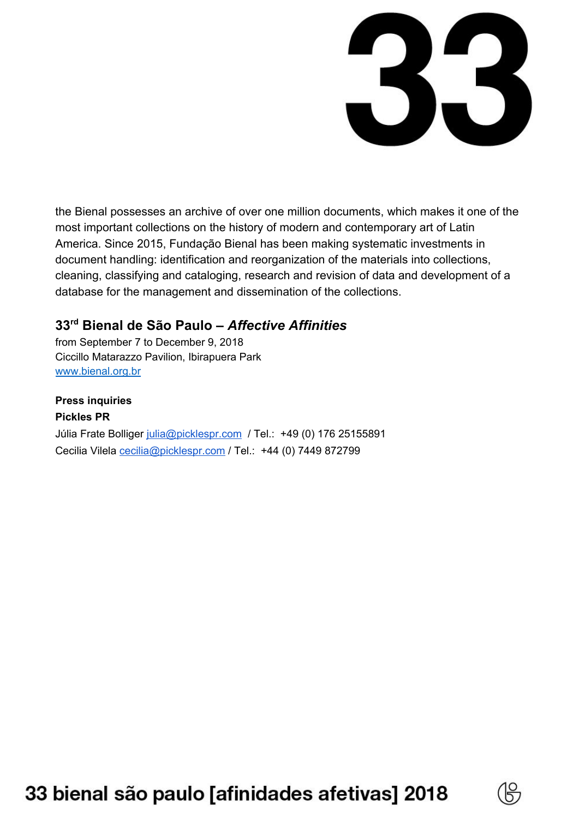

the Bienal possesses an archive of over one million documents, which makes it one of the most important collections on the history of modern and contemporary art of Latin America. Since 2015, Fundação Bienal has been making systematic investments in document handling: identification and reorganization of the materials into collections, cleaning, classifying and cataloging, research and revision of data and development of a database for the management and dissemination of the collections.

## **33 rd Bienal de São Paulo –** *Affective Affinities*

from September 7 to December 9, 2018 Ciccillo Matarazzo Pavilion, Ibirapuera Park [www.bienal.org.br](http://www.bienal.org.br/)

#### **Press inquiries Pickles PR**

Júlia Frate Bolliger [julia@picklespr.com](mailto:julia@picklespr.com) / Tel.: +49 (0) 176 25155891 Cecilia Vilela [cecilia@picklespr.com](mailto:cecilia@picklespr.com) / Tel.: +44 (0) 7449 872799